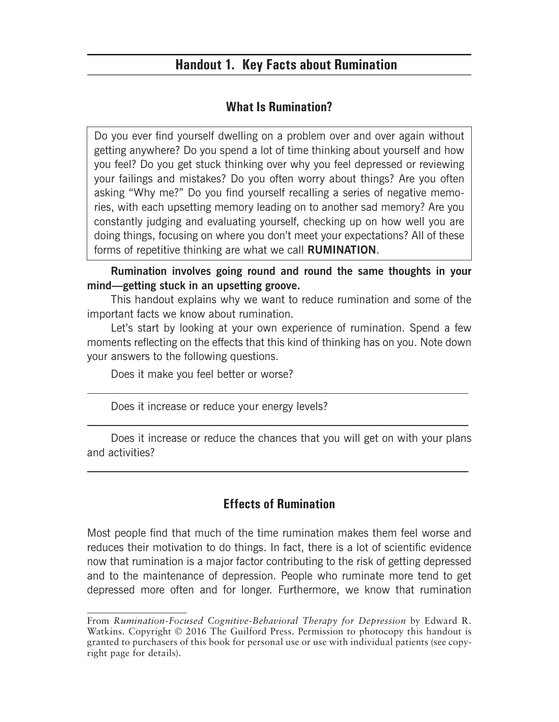# **Handout 1. Key Facts about Rumination**

## **What Is Rumination?**

Do you ever find yourself dwelling on a problem over and over again without getting anywhere? Do you spend a lot of time thinking about yourself and how you feel? Do you get stuck thinking over why you feel depressed or reviewing your failings and mistakes? Do you often worry about things? Are you often asking "Why me?" Do you find yourself recalling a series of negative memories, with each upsetting memory leading on to another sad memory? Are you constantly judging and evaluating yourself, checking up on how well you are doing things, focusing on where you don't meet your expectations? All of these forms of repetitive thinking are what we call **RUMINATION**.

**Rumination involves going round and round the same thoughts in your mind—getting stuck in an upsetting groove.**

This handout explains why we want to reduce rumination and some of the important facts we know about rumination.

Let's start by looking at your own experience of rumination. Spend a few moments reflecting on the effects that this kind of thinking has on you. Note down your answers to the following questions.

Does it make you feel better or worse?

 $\overline{a}$ 

 $\overline{a}$ 

Does it increase or reduce your energy levels?

Does it increase or reduce the chances that you will get on with your plans and activities?

## **Effects of Rumination**

Most people find that much of the time rumination makes them feel worse and reduces their motivation to do things. In fact, there is a lot of scientific evidence now that rumination is a major factor contributing to the risk of getting depressed and to the maintenance of depression. People who ruminate more tend to get depressed more often and for longer. Furthermore, we know that rumination

From *Rumination-Focused Cognitive-Behavioral Therapy for Depression* by Edward R. Watkins. Copyright © 2016 The Guilford Press. Permission to photocopy this handout is granted to purchasers of this book for personal use or use with individual patients (see copyright page for details).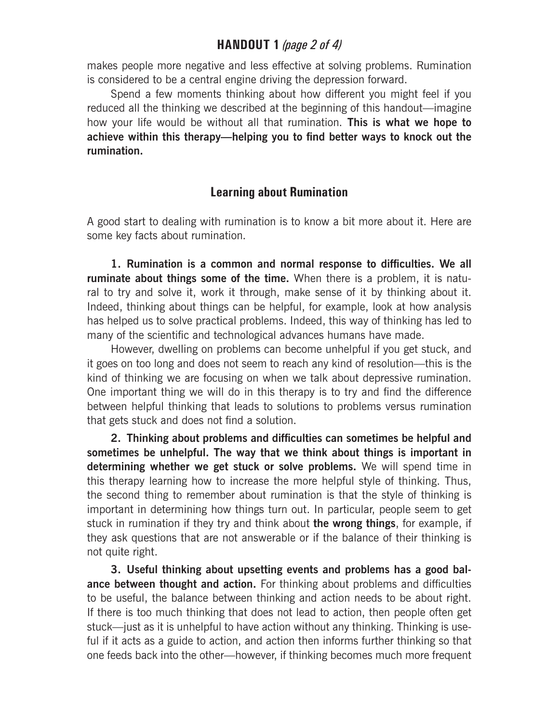## **HANDOUT 1** *(page 2 of 4)*

makes people more negative and less effective at solving problems. Rumination is considered to be a central engine driving the depression forward.

Spend a few moments thinking about how different you might feel if you reduced all the thinking we described at the beginning of this handout—imagine how your life would be without all that rumination. **This is what we hope to achieve within this therapy—helping you to find better ways to knock out the rumination.**

#### **Learning about Rumination**

A good start to dealing with rumination is to know a bit more about it. Here are some key facts about rumination.

**1. Rumination is a common and normal response to difficulties. We all ruminate about things some of the time.** When there is a problem, it is natural to try and solve it, work it through, make sense of it by thinking about it. Indeed, thinking about things can be helpful, for example, look at how analysis has helped us to solve practical problems. Indeed, this way of thinking has led to many of the scientific and technological advances humans have made.

However, dwelling on problems can become unhelpful if you get stuck, and it goes on too long and does not seem to reach any kind of resolution—this is the kind of thinking we are focusing on when we talk about depressive rumination. One important thing we will do in this therapy is to try and find the difference between helpful thinking that leads to solutions to problems versus rumination that gets stuck and does not find a solution.

**2. Thinking about problems and difficulties can sometimes be helpful and sometimes be unhelpful. The way that we think about things is important in determining whether we get stuck or solve problems.** We will spend time in this therapy learning how to increase the more helpful style of thinking. Thus, the second thing to remember about rumination is that the style of thinking is important in determining how things turn out. In particular, people seem to get stuck in rumination if they try and think about **the wrong things**, for example, if they ask questions that are not answerable or if the balance of their thinking is not quite right.

**3. Useful thinking about upsetting events and problems has a good balance between thought and action.** For thinking about problems and difficulties to be useful, the balance between thinking and action needs to be about right. If there is too much thinking that does not lead to action, then people often get stuck—just as it is unhelpful to have action without any thinking. Thinking is useful if it acts as a guide to action, and action then informs further thinking so that one feeds back into the other—however, if thinking becomes much more frequent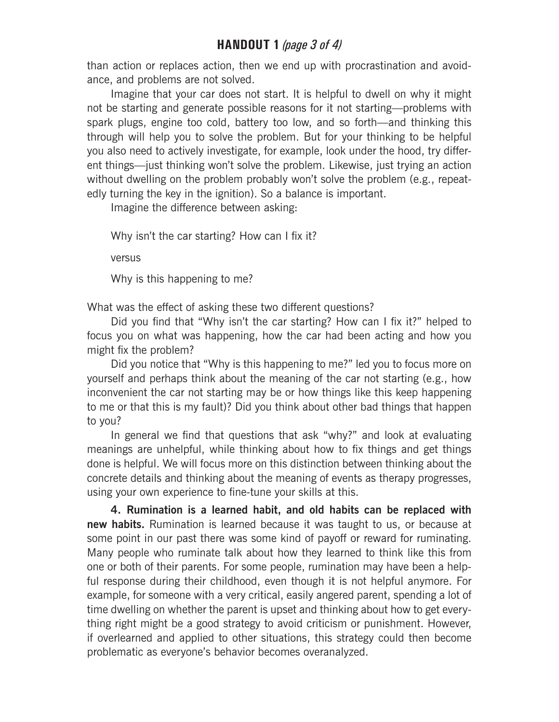## **HANDOUT 1** *(page 3 of 4)*

than action or replaces action, then we end up with procrastination and avoidance, and problems are not solved.

Imagine that your car does not start. It is helpful to dwell on why it might not be starting and generate possible reasons for it not starting—problems with spark plugs, engine too cold, battery too low, and so forth—and thinking this through will help you to solve the problem. But for your thinking to be helpful you also need to actively investigate, for example, look under the hood, try different things—just thinking won't solve the problem. Likewise, just trying an action without dwelling on the problem probably won't solve the problem (e.g., repeatedly turning the key in the ignition). So a balance is important.

Imagine the difference between asking:

Why isn't the car starting? How can I fix it?

versus

Why is this happening to me?

What was the effect of asking these two different questions?

Did you find that "Why isn't the car starting? How can I fix it?" helped to focus you on what was happening, how the car had been acting and how you might fix the problem?

Did you notice that "Why is this happening to me?" led you to focus more on yourself and perhaps think about the meaning of the car not starting (e.g., how inconvenient the car not starting may be or how things like this keep happening to me or that this is my fault)? Did you think about other bad things that happen to you?

In general we find that questions that ask "why?" and look at evaluating meanings are unhelpful, while thinking about how to fix things and get things done is helpful. We will focus more on this distinction between thinking about the concrete details and thinking about the meaning of events as therapy progresses, using your own experience to fine-tune your skills at this.

**4. Rumination is a learned habit, and old habits can be replaced with new habits.** Rumination is learned because it was taught to us, or because at some point in our past there was some kind of payoff or reward for ruminating. Many people who ruminate talk about how they learned to think like this from one or both of their parents. For some people, rumination may have been a helpful response during their childhood, even though it is not helpful anymore. For example, for someone with a very critical, easily angered parent, spending a lot of time dwelling on whether the parent is upset and thinking about how to get everything right might be a good strategy to avoid criticism or punishment. However, if overlearned and applied to other situations, this strategy could then become problematic as everyone's behavior becomes overanalyzed.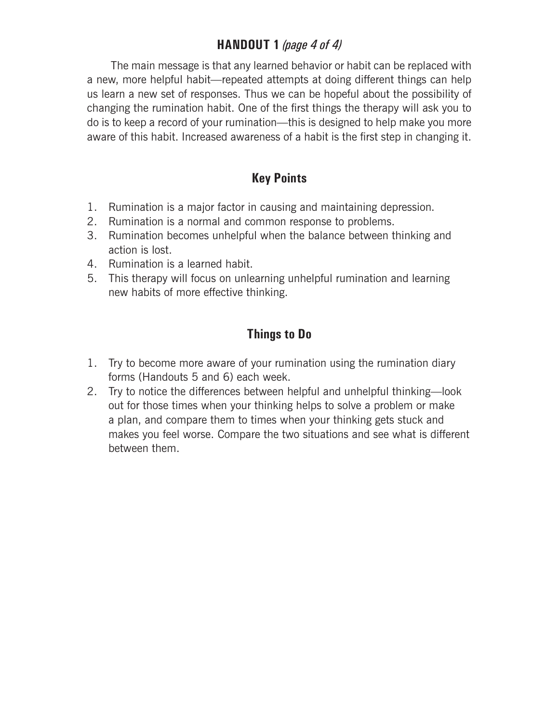# **HANDOUT 1** *(page 4 of 4)*

The main message is that any learned behavior or habit can be replaced with a new, more helpful habit—repeated attempts at doing different things can help us learn a new set of responses. Thus we can be hopeful about the possibility of changing the rumination habit. One of the first things the therapy will ask you to do is to keep a record of your rumination—this is designed to help make you more aware of this habit. Increased awareness of a habit is the first step in changing it.

## **Key Points**

- 1. Rumination is a major factor in causing and maintaining depression.
- 2. Rumination is a normal and common response to problems.
- 3. Rumination becomes unhelpful when the balance between thinking and action is lost.
- 4. Rumination is a learned habit.
- 5. This therapy will focus on unlearning unhelpful rumination and learning new habits of more effective thinking.

# **Things to Do**

- 1. Try to become more aware of your rumination using the rumination diary forms (Handouts 5 and 6) each week.
- 2. Try to notice the differences between helpful and unhelpful thinking—look out for those times when your thinking helps to solve a problem or make a plan, and compare them to times when your thinking gets stuck and makes you feel worse. Compare the two situations and see what is different between them.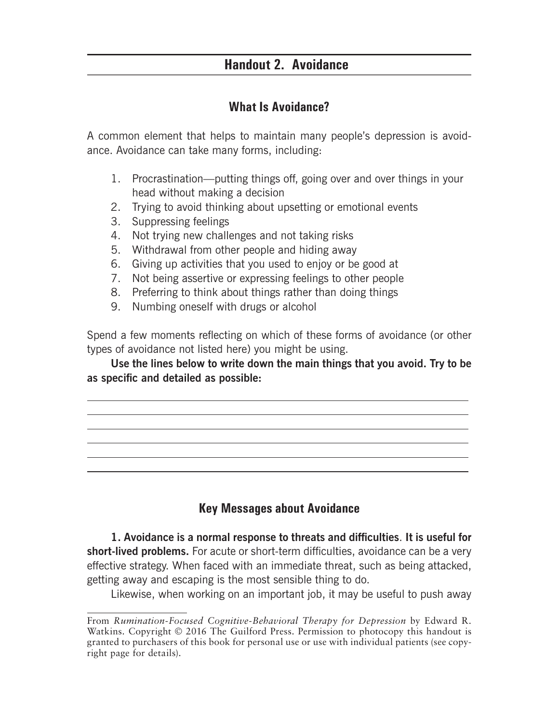# **Handout 2. Avoidance**

## **What Is Avoidance?**

A common element that helps to maintain many people's depression is avoidance. Avoidance can take many forms, including:

- 1. Procrastination—putting things off, going over and over things in your head without making a decision
- 2. Trying to avoid thinking about upsetting or emotional events
- 3. Suppressing feelings

 $\overline{a}$ 

- 4. Not trying new challenges and not taking risks
- 5. Withdrawal from other people and hiding away
- 6. Giving up activities that you used to enjoy or be good at
- 7. Not being assertive or expressing feelings to other people
- 8. Preferring to think about things rather than doing things
- 9. Numbing oneself with drugs or alcohol

Spend a few moments reflecting on which of these forms of avoidance (or other types of avoidance not listed here) you might be using.

**Use the lines below to write down the main things that you avoid. Try to be as specific and detailed as possible:**

## **Key Messages about Avoidance**

**1. Avoidance is a normal response to threats and difficulties**. **It is useful for short-lived problems.** For acute or short-term difficulties, avoidance can be a very effective strategy. When faced with an immediate threat, such as being attacked, getting away and escaping is the most sensible thing to do.

Likewise, when working on an important job, it may be useful to push away

From *Rumination-Focused Cognitive-Behavioral Therapy for Depression* by Edward R. Watkins. Copyright © 2016 The Guilford Press. Permission to photocopy this handout is granted to purchasers of this book for personal use or use with individual patients (see copyright page for details).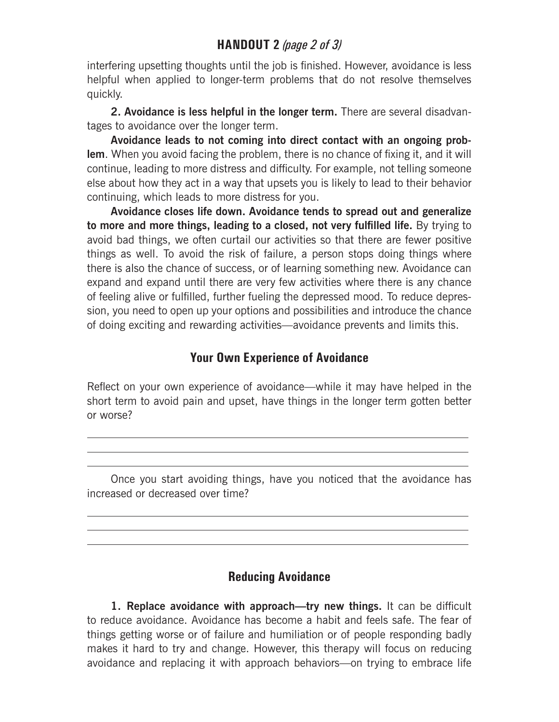# **HANDOUT 2** *(page 2 of 3)*

interfering upsetting thoughts until the job is finished. However, avoidance is less helpful when applied to longer-term problems that do not resolve themselves quickly.

**2. Avoidance is less helpful in the longer term.** There are several disadvantages to avoidance over the longer term.

**Avoidance leads to not coming into direct contact with an ongoing problem**. When you avoid facing the problem, there is no chance of fixing it, and it will continue, leading to more distress and difficulty. For example, not telling someone else about how they act in a way that upsets you is likely to lead to their behavior continuing, which leads to more distress for you.

**Avoidance closes life down. Avoidance tends to spread out and generalize to more and more things, leading to a closed, not very fulfilled life.** By trying to avoid bad things, we often curtail our activities so that there are fewer positive things as well. To avoid the risk of failure, a person stops doing things where there is also the chance of success, or of learning something new. Avoidance can expand and expand until there are very few activities where there is any chance of feeling alive or fulfilled, further fueling the depressed mood. To reduce depression, you need to open up your options and possibilities and introduce the chance of doing exciting and rewarding activities—avoidance prevents and limits this.

### **Your Own Experience of Avoidance**

Reflect on your own experience of avoidance—while it may have helped in the short term to avoid pain and upset, have things in the longer term gotten better or worse?

 $\overline{a}$ 

 $\overline{a}$ 

Once you start avoiding things, have you noticed that the avoidance has increased or decreased over time?

#### **Reducing Avoidance**

**1. Replace avoidance with approach—try new things.** It can be difficult to reduce avoidance. Avoidance has become a habit and feels safe. The fear of things getting worse or of failure and humiliation or of people responding badly makes it hard to try and change. However, this therapy will focus on reducing avoidance and replacing it with approach behaviors—on trying to embrace life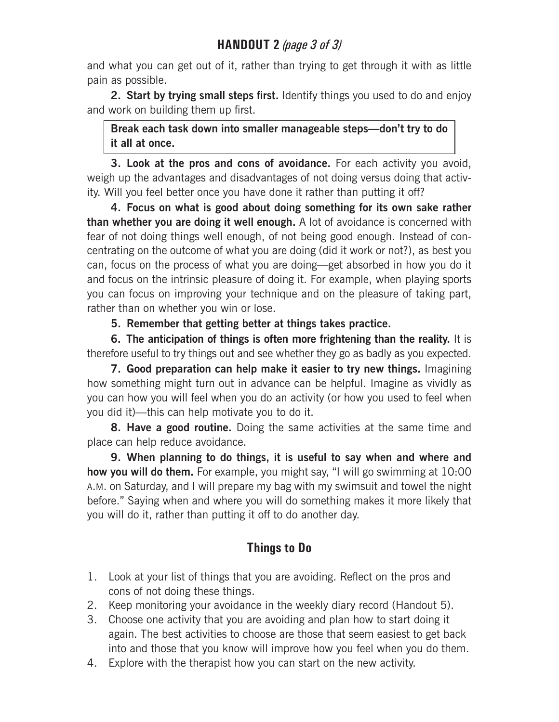## **HANDOUT 2** *(page 3 of 3)*

and what you can get out of it, rather than trying to get through it with as little pain as possible.

**2. Start by trying small steps first.** Identify things you used to do and enjoy and work on building them up first.

**Break each task down into smaller manageable steps—don't try to do it all at once.**

**3. Look at the pros and cons of avoidance.** For each activity you avoid, weigh up the advantages and disadvantages of not doing versus doing that activity. Will you feel better once you have done it rather than putting it off?

**4. Focus on what is good about doing something for its own sake rather than whether you are doing it well enough.** A lot of avoidance is concerned with fear of not doing things well enough, of not being good enough. Instead of concentrating on the outcome of what you are doing (did it work or not?), as best you can, focus on the process of what you are doing—get absorbed in how you do it and focus on the intrinsic pleasure of doing it. For example, when playing sports you can focus on improving your technique and on the pleasure of taking part, rather than on whether you win or lose.

**5. Remember that getting better at things takes practice.**

**6. The anticipation of things is often more frightening than the reality.** It is therefore useful to try things out and see whether they go as badly as you expected.

**7. Good preparation can help make it easier to try new things.** Imagining how something might turn out in advance can be helpful. Imagine as vividly as you can how you will feel when you do an activity (or how you used to feel when you did it)—this can help motivate you to do it.

**8. Have a good routine.** Doing the same activities at the same time and place can help reduce avoidance.

**9. When planning to do things, it is useful to say when and where and how you will do them.** For example, you might say, "I will go swimming at 10:00 A.M. on Saturday, and I will prepare my bag with my swimsuit and towel the night before." Saying when and where you will do something makes it more likely that you will do it, rather than putting it off to do another day.

## **Things to Do**

- 1. Look at your list of things that you are avoiding. Reflect on the pros and cons of not doing these things.
- 2. Keep monitoring your avoidance in the weekly diary record (Handout 5).
- 3. Choose one activity that you are avoiding and plan how to start doing it again. The best activities to choose are those that seem easiest to get back into and those that you know will improve how you feel when you do them.
- 4. Explore with the therapist how you can start on the new activity.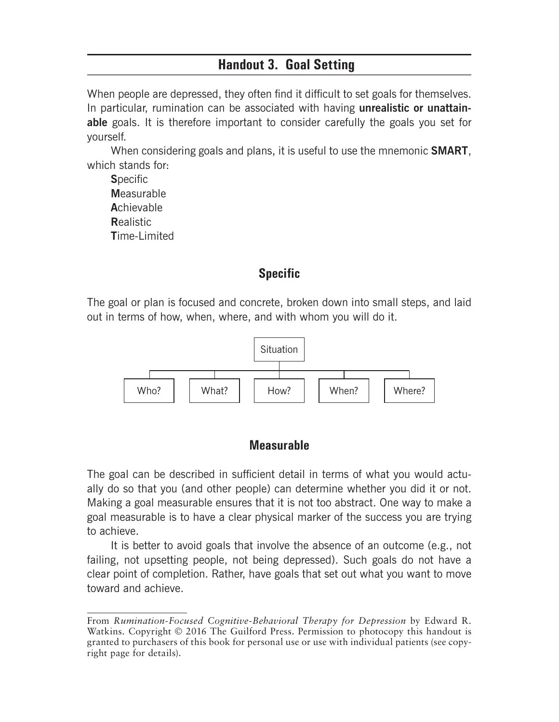# **Handout 3. Goal Setting**

When people are depressed, they often find it difficult to set goals for themselves. In particular, rumination can be associated with having **unrealistic or unattainable** goals. It is therefore important to consider carefully the goals you set for yourself.

When considering goals and plans, it is useful to use the mnemonic **SMART**, which stands for:

**S**pecific **M**easurable **A**chievable **R**ealistic **T**ime-Limited

## **Specific**

The goal or plan is focused and concrete, broken down into small steps, and laid out in terms of how, when, where, and with whom you will do it.



### **Measurable**

The goal can be described in sufficient detail in terms of what you would actually do so that you (and other people) can determine whether you did it or not. Making a goal measurable ensures that it is not too abstract. One way to make a goal measurable is to have a clear physical marker of the success you are trying to achieve.

It is better to avoid goals that involve the absence of an outcome (e.g., not failing, not upsetting people, not being depressed). Such goals do not have a clear point of completion. Rather, have goals that set out what you want to move toward and achieve.

From *Rumination-Focused Cognitive-Behavioral Therapy for Depression* by Edward R. Watkins. Copyright © 2016 The Guilford Press. Permission to photocopy this handout is granted to purchasers of this book for personal use or use with individual patients (see copyright page for details).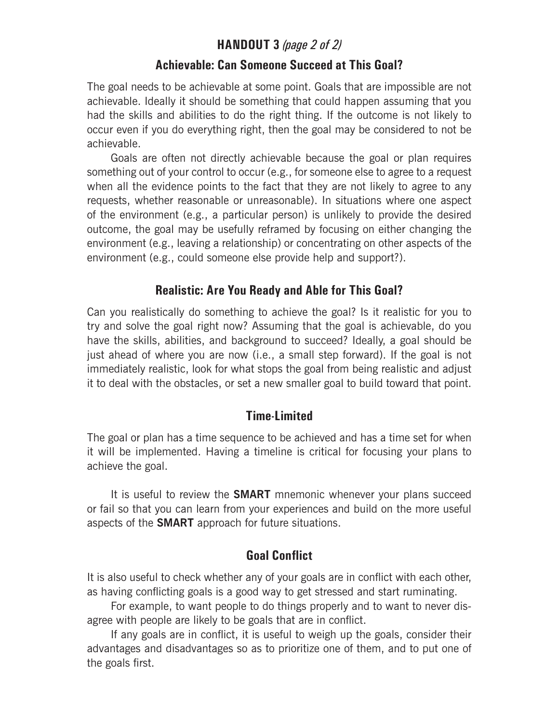## **HANDOUT 3** *(page 2 of 2)*

### **Achievable: Can Someone Succeed at This Goal?**

The goal needs to be achievable at some point. Goals that are impossible are not achievable. Ideally it should be something that could happen assuming that you had the skills and abilities to do the right thing. If the outcome is not likely to occur even if you do everything right, then the goal may be considered to not be achievable.

Goals are often not directly achievable because the goal or plan requires something out of your control to occur (e.g., for someone else to agree to a request when all the evidence points to the fact that they are not likely to agree to any requests, whether reasonable or unreasonable). In situations where one aspect of the environment (e.g., a particular person) is unlikely to provide the desired outcome, the goal may be usefully reframed by focusing on either changing the environment (e.g., leaving a relationship) or concentrating on other aspects of the environment (e.g., could someone else provide help and support?).

## **Realistic: Are You Ready and Able for This Goal?**

Can you realistically do something to achieve the goal? Is it realistic for you to try and solve the goal right now? Assuming that the goal is achievable, do you have the skills, abilities, and background to succeed? Ideally, a goal should be just ahead of where you are now (i.e., a small step forward). If the goal is not immediately realistic, look for what stops the goal from being realistic and adjust it to deal with the obstacles, or set a new smaller goal to build toward that point.

## **Time-Limited**

The goal or plan has a time sequence to be achieved and has a time set for when it will be implemented. Having a timeline is critical for focusing your plans to achieve the goal.

It is useful to review the **SMART** mnemonic whenever your plans succeed or fail so that you can learn from your experiences and build on the more useful aspects of the **SMART** approach for future situations.

## **Goal Conflict**

It is also useful to check whether any of your goals are in conflict with each other, as having conflicting goals is a good way to get stressed and start ruminating.

For example, to want people to do things properly and to want to never disagree with people are likely to be goals that are in conflict.

If any goals are in conflict, it is useful to weigh up the goals, consider their advantages and disadvantages so as to prioritize one of them, and to put one of the goals first.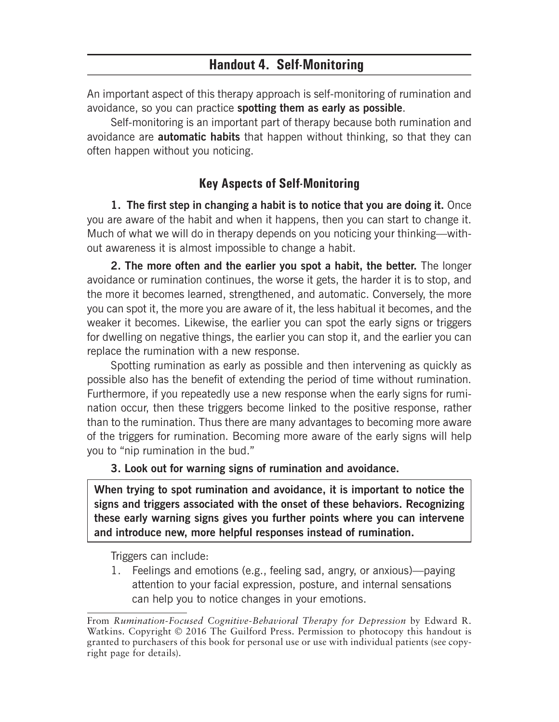# **Handout 4. Self-Monitoring**

An important aspect of this therapy approach is self-monitoring of rumination and avoidance, so you can practice **spotting them as early as possible**.

Self-monitoring is an important part of therapy because both rumination and avoidance are **automatic habits** that happen without thinking, so that they can often happen without you noticing.

## **Key Aspects of Self-Monitoring**

**1. The first step in changing a habit is to notice that you are doing it.** Once you are aware of the habit and when it happens, then you can start to change it. Much of what we will do in therapy depends on you noticing your thinking—without awareness it is almost impossible to change a habit.

**2. The more often and the earlier you spot a habit, the better.** The longer avoidance or rumination continues, the worse it gets, the harder it is to stop, and the more it becomes learned, strengthened, and automatic. Conversely, the more you can spot it, the more you are aware of it, the less habitual it becomes, and the weaker it becomes. Likewise, the earlier you can spot the early signs or triggers for dwelling on negative things, the earlier you can stop it, and the earlier you can replace the rumination with a new response.

Spotting rumination as early as possible and then intervening as quickly as possible also has the benefit of extending the period of time without rumination. Furthermore, if you repeatedly use a new response when the early signs for rumination occur, then these triggers become linked to the positive response, rather than to the rumination. Thus there are many advantages to becoming more aware of the triggers for rumination. Becoming more aware of the early signs will help you to "nip rumination in the bud."

**3. Look out for warning signs of rumination and avoidance.**

**When trying to spot rumination and avoidance, it is important to notice the signs and triggers associated with the onset of these behaviors. Recognizing these early warning signs gives you further points where you can intervene and introduce new, more helpful responses instead of rumination.** 

Triggers can include:

1. Feelings and emotions (e.g., feeling sad, angry, or anxious)—paying attention to your facial expression, posture, and internal sensations can help you to notice changes in your emotions.

From *Rumination-Focused Cognitive-Behavioral Therapy for Depression* by Edward R. Watkins. Copyright © 2016 The Guilford Press. Permission to photocopy this handout is granted to purchasers of this book for personal use or use with individual patients (see copyright page for details).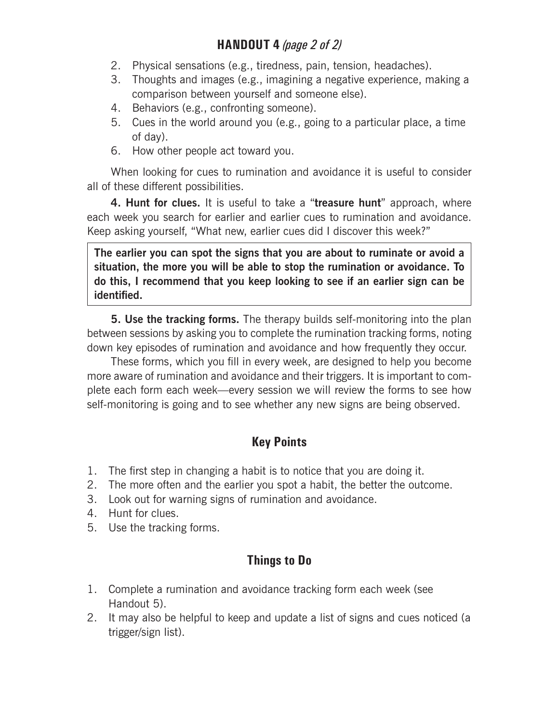# **HANDOUT 4** *(page 2 of 2)*

- 2. Physical sensations (e.g., tiredness, pain, tension, headaches).
- 3. Thoughts and images (e.g., imagining a negative experience, making a comparison between yourself and someone else).
- 4. Behaviors (e.g., confronting someone).
- 5. Cues in the world around you (e.g., going to a particular place, a time of day).
- 6. How other people act toward you.

When looking for cues to rumination and avoidance it is useful to consider all of these different possibilities.

**4. Hunt for clues.** It is useful to take a "**treasure hunt**" approach, where each week you search for earlier and earlier cues to rumination and avoidance. Keep asking yourself, "What new, earlier cues did I discover this week?"

**The earlier you can spot the signs that you are about to ruminate or avoid a situation, the more you will be able to stop the rumination or avoidance. To do this, I recommend that you keep looking to see if an earlier sign can be identified.**

**5. Use the tracking forms.** The therapy builds self-monitoring into the plan between sessions by asking you to complete the rumination tracking forms, noting down key episodes of rumination and avoidance and how frequently they occur.

These forms, which you fill in every week, are designed to help you become more aware of rumination and avoidance and their triggers. It is important to complete each form each week—every session we will review the forms to see how self-monitoring is going and to see whether any new signs are being observed.

# **Key Points**

- 1. The first step in changing a habit is to notice that you are doing it.
- 2. The more often and the earlier you spot a habit, the better the outcome.
- 3. Look out for warning signs of rumination and avoidance.
- 4. Hunt for clues.
- 5. Use the tracking forms.

# **Things to Do**

- 1. Complete a rumination and avoidance tracking form each week (see Handout 5).
- 2. It may also be helpful to keep and update a list of signs and cues noticed (a trigger/sign list).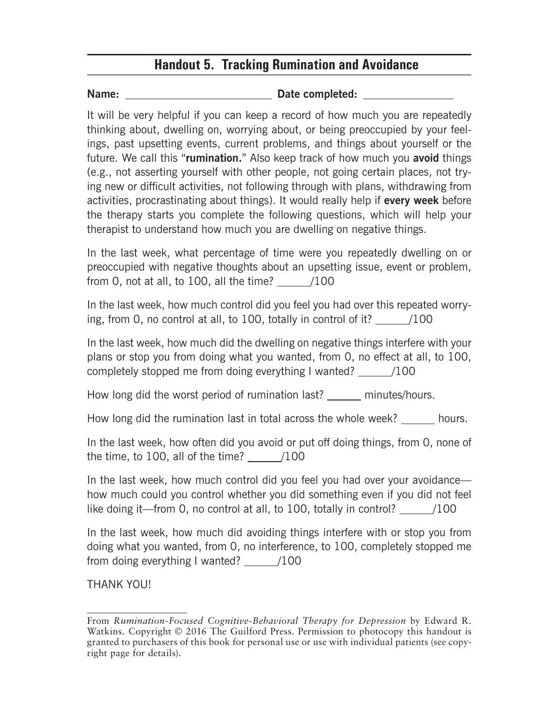# **Handout 5. Tracking Rumination and Avoidance**

**Name: Date completed: Date completed: Date completed: Date completed: Date is a set of the set of the set of the set of the set of the set of the set of the set of the set of the set of the set of the set of the** 

It will be very helpful if you can keep a record of how much you are repeatedly thinking about, dwelling on, worrying about, or being preoccupied by your feelings, past upsetting events, current problems, and things about yourself or the future. We call this "**rumination.**" Also keep track of how much you **avoid** things (e.g., not asserting yourself with other people, not going certain places, not trying new or difficult activities, not following through with plans, withdrawing from activities, procrastinating about things). It would really help if **every week** before the therapy starts you complete the following questions, which will help your therapist to understand how much you are dwelling on negative things.

In the last week, what percentage of time were you repeatedly dwelling on or preoccupied with negative thoughts about an upsetting issue, event or problem, from 0, not at all, to 100, all the time? /100

In the last week, how much control did you feel you had over this repeated worrying, from 0, no control at all, to 100, totally in control of it?  $\_\_\_\_/100$ 

In the last week, how much did the dwelling on negative things interfere with your plans or stop you from doing what you wanted, from 0, no effect at all, to 100, completely stopped me from doing everything I wanted? 100

How long did the worst period of rumination last? \_\_\_\_\_ minutes/hours.

How long did the rumination last in total across the whole week? \_\_\_\_\_ hours.

In the last week, how often did you avoid or put off doing things, from 0, none of the time, to 100, all of the time?  $\frac{100}{200}$ 

In the last week, how much control did you feel you had over your avoidance how much could you control whether you did something even if you did not feel like doing it—from 0, no control at all, to 100, totally in control?  $\frac{100}{\sqrt{100}}$ 

In the last week, how much did avoiding things interfere with or stop you from doing what you wanted, from 0, no interference, to 100, completely stopped me from doing everything I wanted?  $\frac{1}{2}$  /100

THANK YOU!

From *Rumination-Focused Cognitive-Behavioral Therapy for Depression* by Edward R. Watkins. Copyright © 2016 The Guilford Press. Permission to photocopy this handout is granted to purchasers of this book for personal use or use with individual patients (see copyright page for details).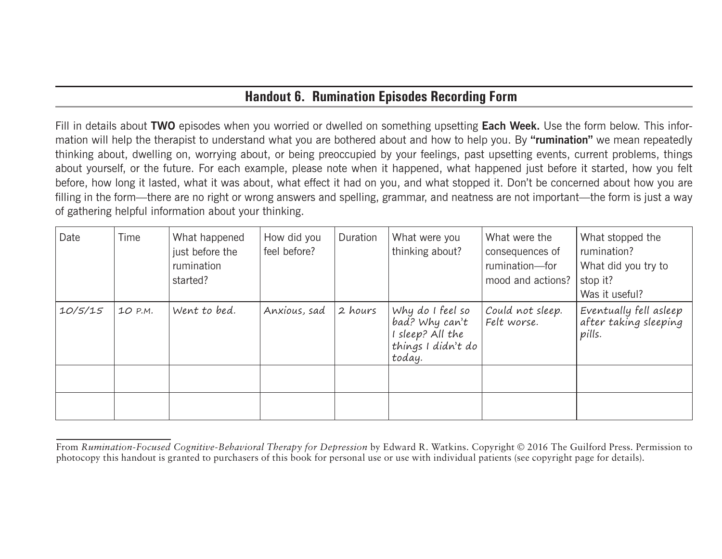# **Handout 6. Rumination Episodes Recording Form**

Fill in details about **TWO** episodes when you worried or dwelled on something upsetting **Each Week.** Use the form below. This infor mation will help the therapist to understand what you are bothered about and how to help you. By "rumination" we mean repeatedly thinking about, dwelling on, worrying about, or being preoccupied by your feelings, past upse

| Date    | Time    | What happened<br>just before the<br>rumination<br>started? | How did you<br>feel before? | Duration | What were you<br>thinking about?                                                       | What were the<br>consequences of<br>rumination-for<br>mood and actions? | What stopped the<br>rumination?<br>What did you try to<br>stop it?<br>Was it useful? |
|---------|---------|------------------------------------------------------------|-----------------------------|----------|----------------------------------------------------------------------------------------|-------------------------------------------------------------------------|--------------------------------------------------------------------------------------|
| 10/5/15 | 10 P.M. | Went to bed.                                               | Anxious, sad                | 2 hours  | Why do I feel so<br>bad? Why can't<br>I sleep? All the<br>things I didn't do<br>today. | Could not sleep.<br>Felt worse.                                         | Eventually fell asleep<br>after taking sleeping<br>pills.                            |
|         |         |                                                            |                             |          |                                                                                        |                                                                         |                                                                                      |
|         |         |                                                            |                             |          |                                                                                        |                                                                         |                                                                                      |

From *Rumination-Focused Cognitive-Behavioral Therapy for Depression* by Edward R. Watkins. Copyright © 2016 The Guilford Press. Permission to photocopy this handout is granted to purchasers of this book for personal use or use with individual patients (see copyright page for details).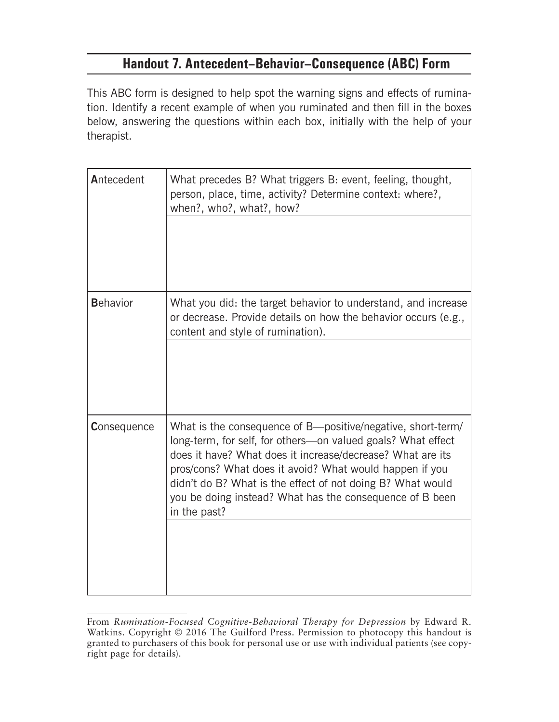# **Handout 7. Antecedent–Behavior–Consequence (ABC) Form**

This ABC form is designed to help spot the warning signs and effects of rumination. Identify a recent example of when you ruminated and then fill in the boxes below, answering the questions within each box, initially with the help of your therapist.

| Antecedent      | What precedes B? What triggers B: event, feeling, thought,<br>person, place, time, activity? Determine context: where?,<br>when?, who?, what?, how?                                                                                                                                                                                                                                            |
|-----------------|------------------------------------------------------------------------------------------------------------------------------------------------------------------------------------------------------------------------------------------------------------------------------------------------------------------------------------------------------------------------------------------------|
| <b>Behavior</b> | What you did: the target behavior to understand, and increase<br>or decrease. Provide details on how the behavior occurs (e.g.,<br>content and style of rumination).                                                                                                                                                                                                                           |
|                 |                                                                                                                                                                                                                                                                                                                                                                                                |
| Consequence     | What is the consequence of B—positive/negative, short-term/<br>long-term, for self, for others-on valued goals? What effect<br>does it have? What does it increase/decrease? What are its<br>pros/cons? What does it avoid? What would happen if you<br>didn't do B? What is the effect of not doing B? What would<br>you be doing instead? What has the consequence of B been<br>in the past? |
|                 |                                                                                                                                                                                                                                                                                                                                                                                                |

From *Rumination-Focused Cognitive-Behavioral Therapy for Depression* by Edward R. Watkins. Copyright © 2016 The Guilford Press. Permission to photocopy this handout is granted to purchasers of this book for personal use or use with individual patients (see copyright page for details).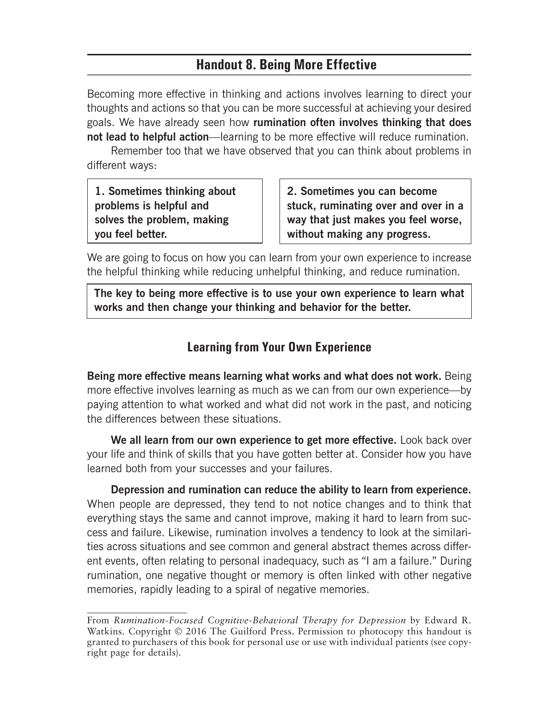# **Handout 8. Being More Effective**

Becoming more effective in thinking and actions involves learning to direct your thoughts and actions so that you can be more successful at achieving your desired goals. We have already seen how **rumination often involves thinking that does not lead to helpful action**—learning to be more effective will reduce rumination.

Remember too that we have observed that you can think about problems in different ways:

**1. Sometimes thinking about problems is helpful and solves the problem, making you feel better.**

**2. Sometimes you can become stuck, ruminating over and over in a way that just makes you feel worse, without making any progress.**

We are going to focus on how you can learn from your own experience to increase the helpful thinking while reducing unhelpful thinking, and reduce rumination.

**The key to being more effective is to use your own experience to learn what works and then change your thinking and behavior for the better.**

# **Learning from Your Own Experience**

**Being more effective means learning what works and what does not work.** Being more effective involves learning as much as we can from our own experience—by paying attention to what worked and what did not work in the past, and noticing the differences between these situations.

**We all learn from our own experience to get more effective.** Look back over your life and think of skills that you have gotten better at. Consider how you have learned both from your successes and your failures.

**Depression and rumination can reduce the ability to learn from experience.**  When people are depressed, they tend to not notice changes and to think that everything stays the same and cannot improve, making it hard to learn from success and failure. Likewise, rumination involves a tendency to look at the similarities across situations and see common and general abstract themes across different events, often relating to personal inadequacy, such as "I am a failure." During rumination, one negative thought or memory is often linked with other negative memories, rapidly leading to a spiral of negative memories.

From *Rumination-Focused Cognitive-Behavioral Therapy for Depression* by Edward R. Watkins. Copyright © 2016 The Guilford Press. Permission to photocopy this handout is granted to purchasers of this book for personal use or use with individual patients (see copyright page for details).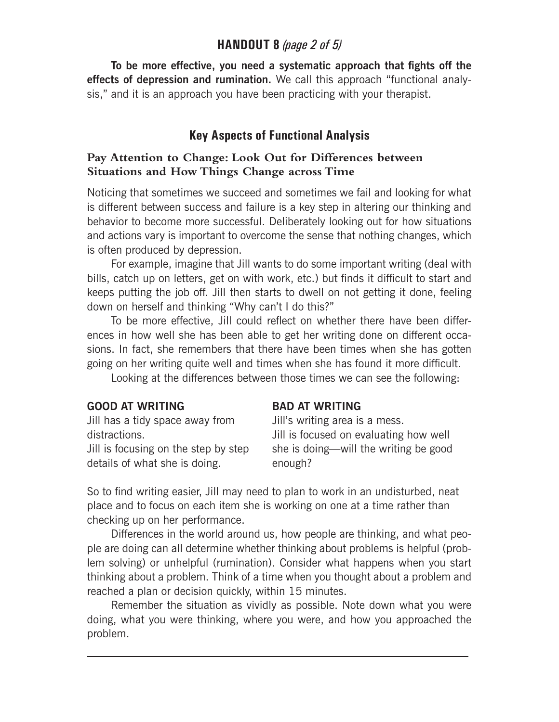## **HANDOUT 8** *(page 2 of 5)*

**To be more effective, you need a systematic approach that fights off the effects of depression and rumination.** We call this approach "functional analysis," and it is an approach you have been practicing with your therapist.

#### **Key Aspects of Functional Analysis**

#### **Pay Attention to Change: Look Out for Differences between Situations and How Things Change across Time**

Noticing that sometimes we succeed and sometimes we fail and looking for what is different between success and failure is a key step in altering our thinking and behavior to become more successful. Deliberately looking out for how situations and actions vary is important to overcome the sense that nothing changes, which is often produced by depression.

For example, imagine that Jill wants to do some important writing (deal with bills, catch up on letters, get on with work, etc.) but finds it difficult to start and keeps putting the job off. Jill then starts to dwell on not getting it done, feeling down on herself and thinking "Why can't I do this?"

To be more effective, Jill could reflect on whether there have been differences in how well she has been able to get her writing done on different occasions. In fact, she remembers that there have been times when she has gotten going on her writing quite well and times when she has found it more difficult.

Looking at the differences between those times we can see the following:

#### **GOOD AT WRITING BAD AT WRITING**

 $\overline{a}$ 

Jill has a tidy space away from distractions. Jill is focusing on the step by step details of what she is doing.

Jill's writing area is a mess. Jill is focused on evaluating how well she is doing—will the writing be good enough?

So to find writing easier, Jill may need to plan to work in an undisturbed, neat place and to focus on each item she is working on one at a time rather than checking up on her performance.

Differences in the world around us, how people are thinking, and what people are doing can all determine whether thinking about problems is helpful (problem solving) or unhelpful (rumination). Consider what happens when you start thinking about a problem. Think of a time when you thought about a problem and reached a plan or decision quickly, within 15 minutes.

Remember the situation as vividly as possible. Note down what you were doing, what you were thinking, where you were, and how you approached the problem.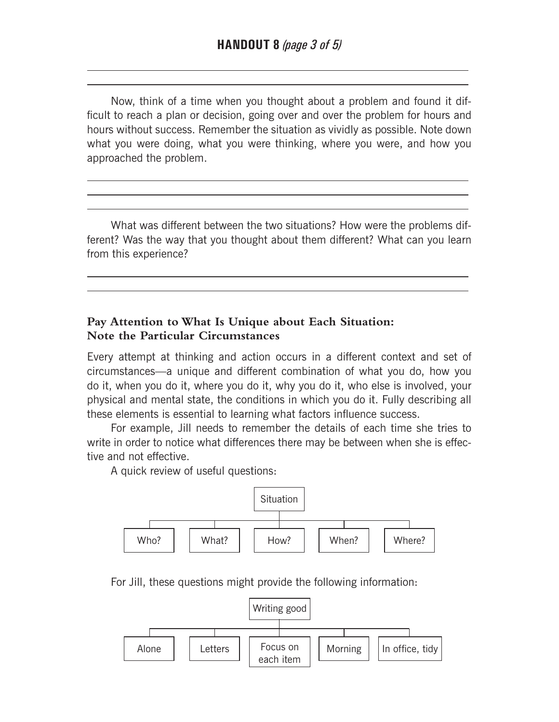Now, think of a time when you thought about a problem and found it difficult to reach a plan or decision, going over and over the problem for hours and hours without success. Remember the situation as vividly as possible. Note down what you were doing, what you were thinking, where you were, and how you approached the problem.

What was different between the two situations? How were the problems different? Was the way that you thought about them different? What can you learn from this experience?

#### **Pay Attention to What Is Unique about Each Situation: Note the Particular Circumstances**

Every attempt at thinking and action occurs in a different context and set of circumstances—a unique and different combination of what you do, how you do it, when you do it, where you do it, why you do it, who else is involved, your physical and mental state, the conditions in which you do it. Fully describing all these elements is essential to learning what factors influence success.

For example, Jill needs to remember the details of each time she tries to write in order to notice what differences there may be between when she is effective and not effective.

A quick review of useful questions:

 $\overline{a}$ 

 $\overline{a}$ 

 $\overline{a}$ 



For Jill, these questions might provide the following information:

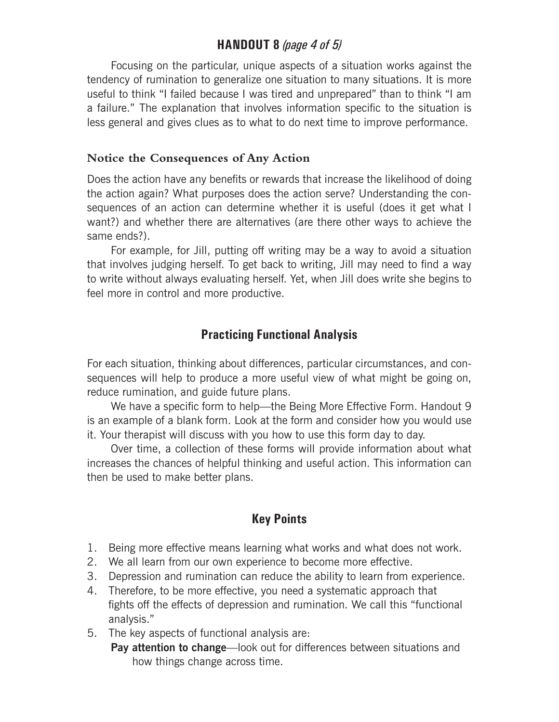# **HANDOUT 8** *(page 4 of 5)*

Focusing on the particular, unique aspects of a situation works against the tendency of rumination to generalize one situation to many situations. It is more useful to think "I failed because I was tired and unprepared" than to think "I am a failure." The explanation that involves information specific to the situation is less general and gives clues as to what to do next time to improve performance.

#### **Notice the Consequences of Any Action**

Does the action have any benefits or rewards that increase the likelihood of doing the action again? What purposes does the action serve? Understanding the consequences of an action can determine whether it is useful (does it get what I want?) and whether there are alternatives (are there other ways to achieve the same ends?).

For example, for Jill, putting off writing may be a way to avoid a situation that involves judging herself. To get back to writing, Jill may need to find a way to write without always evaluating herself. Yet, when Jill does write she begins to feel more in control and more productive.

# **Practicing Functional Analysis**

For each situation, thinking about differences, particular circumstances, and consequences will help to produce a more useful view of what might be going on, reduce rumination, and guide future plans.

We have a specific form to help—the Being More Effective Form. Handout 9 is an example of a blank form. Look at the form and consider how you would use it. Your therapist will discuss with you how to use this form day to day.

Over time, a collection of these forms will provide information about what increases the chances of helpful thinking and useful action. This information can then be used to make better plans.

# **Key Points**

- 1. Being more effective means learning what works and what does not work.
- 2. We all learn from our own experience to become more effective.
- 3. Depression and rumination can reduce the ability to learn from experience.
- 4. Therefore, to be more effective, you need a systematic approach that fights off the effects of depression and rumination. We call this "functional analysis."
- 5. The key aspects of functional analysis are:
	- **Pay attention to change**—look out for differences between situations and how things change across time.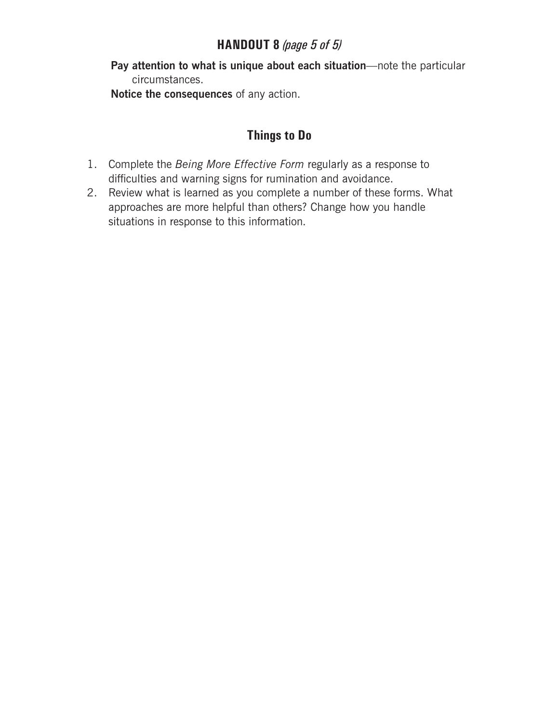# **HANDOUT 8** *(page 5 of 5)*

**Pay attention to what is unique about each situation**—note the particular circumstances.

**Notice the consequences** of any action.

# **Things to Do**

- 1. Complete the *Being More Effective Form* regularly as a response to difficulties and warning signs for rumination and avoidance.
- 2. Review what is learned as you complete a number of these forms. What approaches are more helpful than others? Change how you handle situations in response to this information.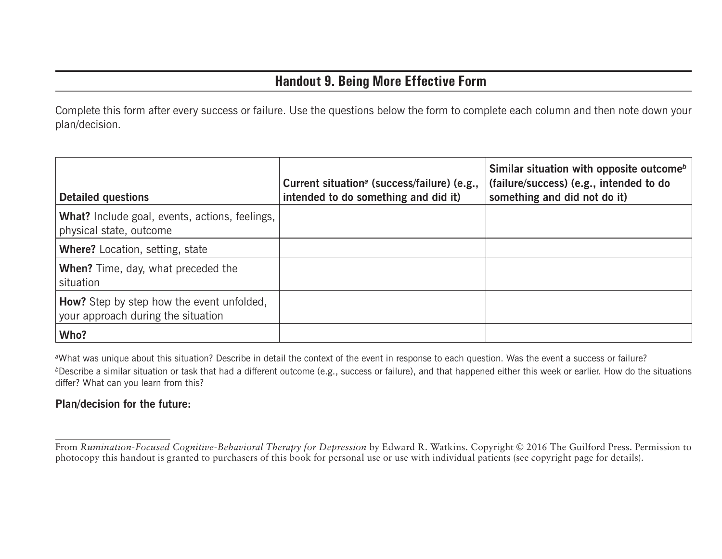# **Handout 9. Being More Effective Form**

Complete this form after every success or failure. Use the questions below the form to complete each column and then note down your plan/decision.

| <b>Detailed questions</b>                                                              | Current situation <sup>a</sup> (success/failure) (e.g.,<br>intended to do something and did it) | Similar situation with opposite outcome <sup>b</sup><br>(failure/success) (e.g., intended to do<br>something and did not do it) |
|----------------------------------------------------------------------------------------|-------------------------------------------------------------------------------------------------|---------------------------------------------------------------------------------------------------------------------------------|
| What? Include goal, events, actions, feelings,<br>physical state, outcome              |                                                                                                 |                                                                                                                                 |
| <b>Where?</b> Location, setting, state                                                 |                                                                                                 |                                                                                                                                 |
| <b>When?</b> Time, day, what preceded the<br>situation                                 |                                                                                                 |                                                                                                                                 |
| <b>How?</b> Step by step how the event unfolded,<br>your approach during the situation |                                                                                                 |                                                                                                                                 |
| Who?                                                                                   |                                                                                                 |                                                                                                                                 |

aWhat was unique about this situation? Describe in detail the context of the event in response to each question. Was the event a success or failure? *<sup>b</sup>*Describe a similar situation or task that had a different outcome (e.g., success or failure), and that happened either this week or earlier. How do the situations differ? What can you learn from this?

#### **Plan/decision for the future:**

From Rumination-Focused Cognitive-Behavioral Therapy for Depression by Edward R. Watkins. Copyright © 2016 The Guilford Press. Permission to photocopy this handout is granted to purchasers of this book for personal use or use with individual patients (see copyright page for details).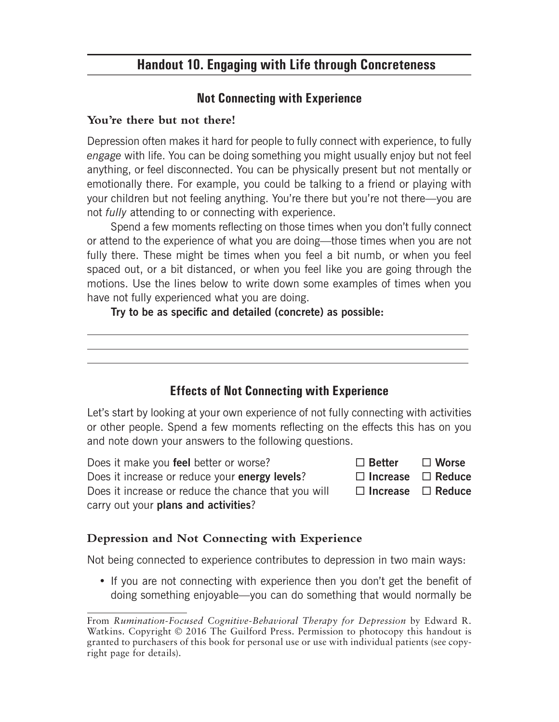# **Handout 10. Engaging with Life through Concreteness**

## **Not Connecting with Experience**

#### **You're there but not there!**

 $\overline{a}$ 

Depression often makes it hard for people to fully connect with experience, to fully *engage* with life. You can be doing something you might usually enjoy but not feel anything, or feel disconnected. You can be physically present but not mentally or emotionally there. For example, you could be talking to a friend or playing with your children but not feeling anything. You're there but you're not there—you are not *fully* attending to or connecting with experience.

Spend a few moments reflecting on those times when you don't fully connect or attend to the experience of what you are doing—those times when you are not fully there. These might be times when you feel a bit numb, or when you feel spaced out, or a bit distanced, or when you feel like you are going through the motions. Use the lines below to write down some examples of times when you have not fully experienced what you are doing.

**Try to be as specific and detailed (concrete) as possible:**

## **Effects of Not Connecting with Experience**

Let's start by looking at your own experience of not fully connecting with activities or other people. Spend a few moments reflecting on the effects this has on you and note down your answers to the following questions.

Does it make you **feel** better or worse? **Better Worse** Does it increase or reduce your **energy levels**? **Increase Reduce** Does it increase or reduce the chance that you will  $\Box$  Increase  $\Box$  Reduce carry out your **plans and activities**?

### **Depression and Not Connecting with Experience**

Not being connected to experience contributes to depression in two main ways:

• If you are not connecting with experience then you don't get the benefit of doing something enjoyable—you can do something that would normally be

From *Rumination-Focused Cognitive-Behavioral Therapy for Depression* by Edward R. Watkins. Copyright © 2016 The Guilford Press. Permission to photocopy this handout is granted to purchasers of this book for personal use or use with individual patients (see copyright page for details).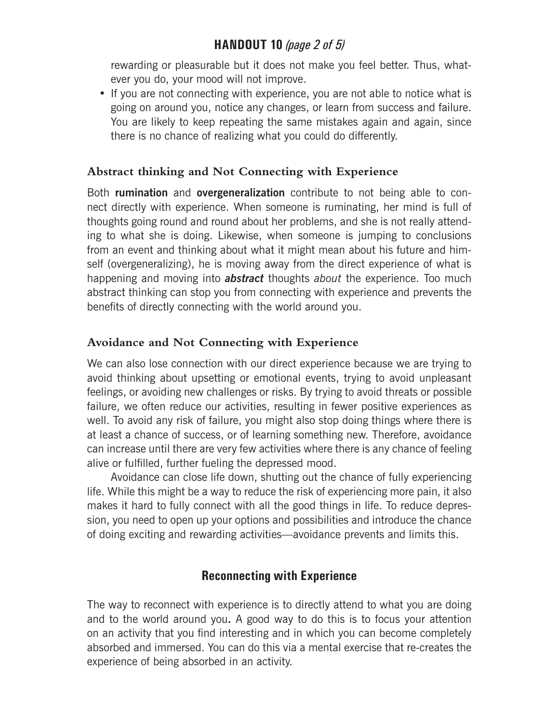# **HANDOUT 10** *(page 2 of 5)*

rewarding or pleasurable but it does not make you feel better. Thus, whatever you do, your mood will not improve.

• If you are not connecting with experience, you are not able to notice what is going on around you, notice any changes, or learn from success and failure. You are likely to keep repeating the same mistakes again and again, since there is no chance of realizing what you could do differently.

### **Abstract thinking and Not Connecting with Experience**

Both **rumination** and **overgeneralization** contribute to not being able to connect directly with experience. When someone is ruminating, her mind is full of thoughts going round and round about her problems, and she is not really attending to what she is doing. Likewise, when someone is jumping to conclusions from an event and thinking about what it might mean about his future and himself (overgeneralizing), he is moving away from the direct experience of what is happening and moving into *abstract* thoughts *about* the experience. Too much abstract thinking can stop you from connecting with experience and prevents the benefits of directly connecting with the world around you.

### **Avoidance and Not Connecting with Experience**

We can also lose connection with our direct experience because we are trying to avoid thinking about upsetting or emotional events, trying to avoid unpleasant feelings, or avoiding new challenges or risks. By trying to avoid threats or possible failure, we often reduce our activities, resulting in fewer positive experiences as well. To avoid any risk of failure, you might also stop doing things where there is at least a chance of success, or of learning something new. Therefore, avoidance can increase until there are very few activities where there is any chance of feeling alive or fulfilled, further fueling the depressed mood.

Avoidance can close life down, shutting out the chance of fully experiencing life. While this might be a way to reduce the risk of experiencing more pain, it also makes it hard to fully connect with all the good things in life. To reduce depression, you need to open up your options and possibilities and introduce the chance of doing exciting and rewarding activities—avoidance prevents and limits this.

## **Reconnecting with Experience**

The way to reconnect with experience is to directly attend to what you are doing and to the world around you**.** A good way to do this is to focus your attention on an activity that you find interesting and in which you can become completely absorbed and immersed. You can do this via a mental exercise that re-creates the experience of being absorbed in an activity.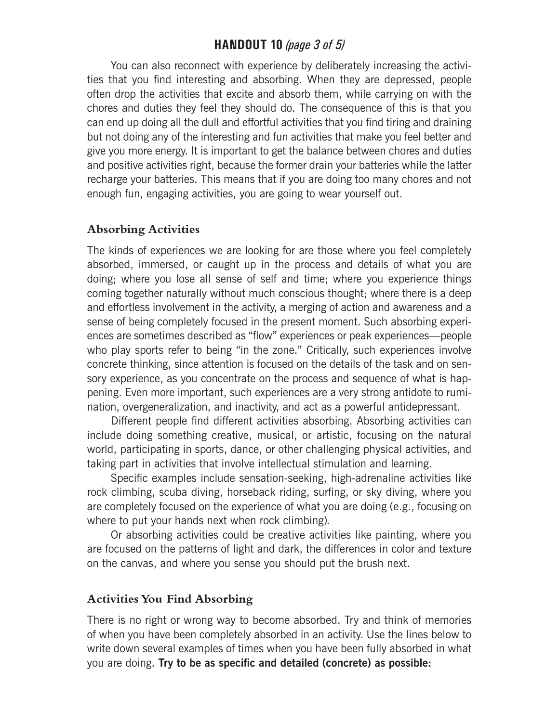## **HANDOUT 10** *(page 3 of 5)*

You can also reconnect with experience by deliberately increasing the activities that you find interesting and absorbing. When they are depressed, people often drop the activities that excite and absorb them, while carrying on with the chores and duties they feel they should do. The consequence of this is that you can end up doing all the dull and effortful activities that you find tiring and draining but not doing any of the interesting and fun activities that make you feel better and give you more energy. It is important to get the balance between chores and duties and positive activities right, because the former drain your batteries while the latter recharge your batteries. This means that if you are doing too many chores and not enough fun, engaging activities, you are going to wear yourself out.

#### **Absorbing Activities**

The kinds of experiences we are looking for are those where you feel completely absorbed, immersed, or caught up in the process and details of what you are doing; where you lose all sense of self and time; where you experience things coming together naturally without much conscious thought; where there is a deep and effortless involvement in the activity, a merging of action and awareness and a sense of being completely focused in the present moment. Such absorbing experiences are sometimes described as "flow" experiences or peak experiences—people who play sports refer to being "in the zone." Critically, such experiences involve concrete thinking, since attention is focused on the details of the task and on sensory experience, as you concentrate on the process and sequence of what is happening. Even more important, such experiences are a very strong antidote to rumination, overgeneralization, and inactivity, and act as a powerful antidepressant.

Different people find different activities absorbing. Absorbing activities can include doing something creative, musical, or artistic, focusing on the natural world, participating in sports, dance, or other challenging physical activities, and taking part in activities that involve intellectual stimulation and learning.

Specific examples include sensation-seeking, high-adrenaline activities like rock climbing, scuba diving, horseback riding, surfing, or sky diving, where you are completely focused on the experience of what you are doing (e.g., focusing on where to put your hands next when rock climbing)*.*

Or absorbing activities could be creative activities like painting, where you are focused on the patterns of light and dark, the differences in color and texture on the canvas, and where you sense you should put the brush next.

#### **Activities You Find Absorbing**

There is no right or wrong way to become absorbed. Try and think of memories of when you have been completely absorbed in an activity. Use the lines below to write down several examples of times when you have been fully absorbed in what you are doing. **Try to be as specific and detailed (concrete) as possible:**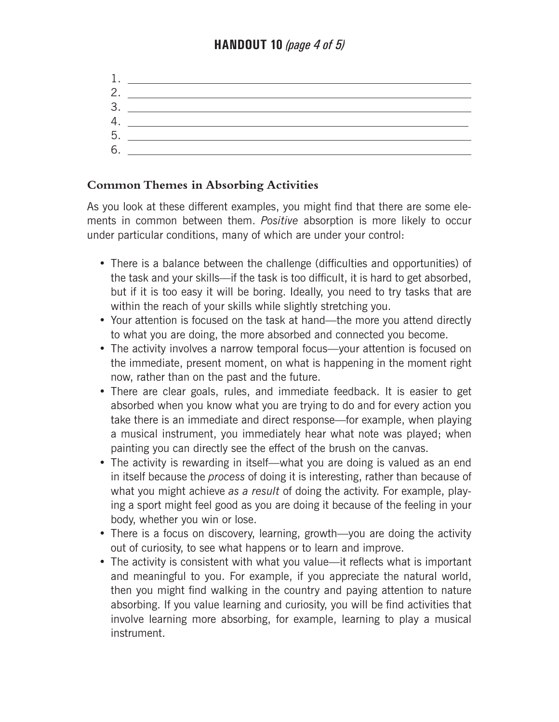# **HANDOUT 10** *(page 4 of 5)*



## **Common Themes in Absorbing Activities**

As you look at these different examples, you might find that there are some elements in common between them. *Positive* absorption is more likely to occur under particular conditions, many of which are under your control:

- There is a balance between the challenge (difficulties and opportunities) of the task and your skills—if the task is too difficult, it is hard to get absorbed, but if it is too easy it will be boring. Ideally, you need to try tasks that are within the reach of your skills while slightly stretching you.
- Your attention is focused on the task at hand—the more you attend directly to what you are doing, the more absorbed and connected you become.
- The activity involves a narrow temporal focus—your attention is focused on the immediate, present moment, on what is happening in the moment right now, rather than on the past and the future.
- There are clear goals, rules, and immediate feedback. It is easier to get absorbed when you know what you are trying to do and for every action you take there is an immediate and direct response—for example, when playing a musical instrument, you immediately hear what note was played; when painting you can directly see the effect of the brush on the canvas.
- The activity is rewarding in itself—what you are doing is valued as an end in itself because the *process* of doing it is interesting, rather than because of what you might achieve *as a result* of doing the activity. For example, playing a sport might feel good as you are doing it because of the feeling in your body, whether you win or lose.
- There is a focus on discovery, learning, growth—you are doing the activity out of curiosity, to see what happens or to learn and improve.
- The activity is consistent with what you value—it reflects what is important and meaningful to you. For example, if you appreciate the natural world, then you might find walking in the country and paying attention to nature absorbing. If you value learning and curiosity, you will be find activities that involve learning more absorbing, for example, learning to play a musical instrument.